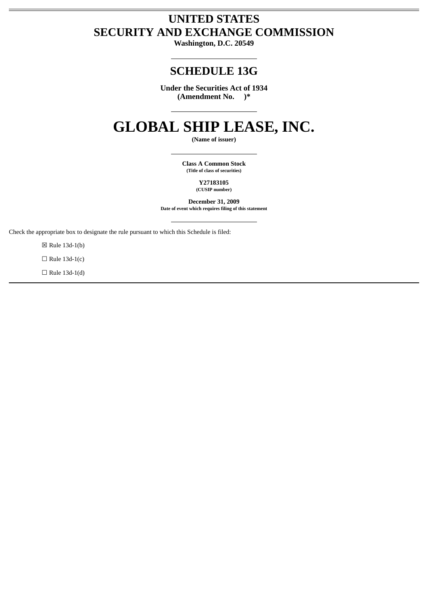# **UNITED STATES SECURITY AND EXCHANGE COMMISSION**

**Washington, D.C. 20549**

## **SCHEDULE 13G**

**Under the Securities Act of 1934 (Amendment No. )\***

# **GLOBAL SHIP LEASE, INC.**

**(Name of issuer)**

 **Class A Common Stock (Title of class of securities)**

> **Y27183105 (CUSIP number)**

 **December 31, 2009 Date of event which requires filing of this statement**

Check the appropriate box to designate the rule pursuant to which this Schedule is filed:

☒ Rule 13d-1(b)

 $\Box$  Rule 13d-1(c)

 $\Box$  Rule 13d-1(d)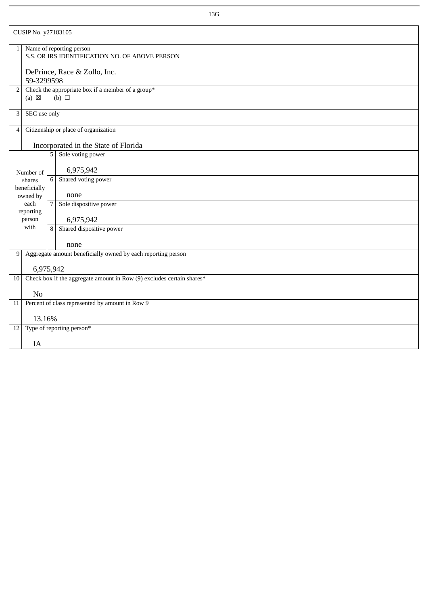| CUSIP No. y27183105                  |                                                                                    |                                                                            |  |  |  |
|--------------------------------------|------------------------------------------------------------------------------------|----------------------------------------------------------------------------|--|--|--|
| $1\vert$                             |                                                                                    | Name of reporting person<br>S.S. OR IRS IDENTIFICATION NO. OF ABOVE PERSON |  |  |  |
|                                      | DePrince, Race & Zollo, Inc.<br>59-3299598                                         |                                                                            |  |  |  |
| 2                                    | Check the appropriate box if a member of a group*<br>(b) $\Box$<br>$(a) \boxtimes$ |                                                                            |  |  |  |
| 3                                    | SEC use only                                                                       |                                                                            |  |  |  |
| 4                                    | Citizenship or place of organization                                               |                                                                            |  |  |  |
| Incorporated in the State of Florida |                                                                                    |                                                                            |  |  |  |
|                                      |                                                                                    | Sole voting power<br>5 <sup>1</sup>                                        |  |  |  |
|                                      | Number of                                                                          | 6,975,942                                                                  |  |  |  |
|                                      | shares                                                                             | Shared voting power<br>6                                                   |  |  |  |
|                                      | beneficially<br>owned by                                                           | none                                                                       |  |  |  |
|                                      | each<br>reporting                                                                  | Sole dispositive power<br>7                                                |  |  |  |
|                                      | person                                                                             | 6,975,942                                                                  |  |  |  |
|                                      | with                                                                               | Shared dispositive power<br>8                                              |  |  |  |
|                                      |                                                                                    | none                                                                       |  |  |  |
|                                      | 9 Aggregate amount beneficially owned by each reporting person                     |                                                                            |  |  |  |
|                                      | 6,975,942                                                                          |                                                                            |  |  |  |
| 10                                   | Check box if the aggregate amount in Row (9) excludes certain shares*              |                                                                            |  |  |  |
|                                      | N <sub>0</sub>                                                                     |                                                                            |  |  |  |
| 11                                   | Percent of class represented by amount in Row 9                                    |                                                                            |  |  |  |
| 13.16%                               |                                                                                    |                                                                            |  |  |  |
| 12                                   | Type of reporting person*                                                          |                                                                            |  |  |  |
|                                      | IA                                                                                 |                                                                            |  |  |  |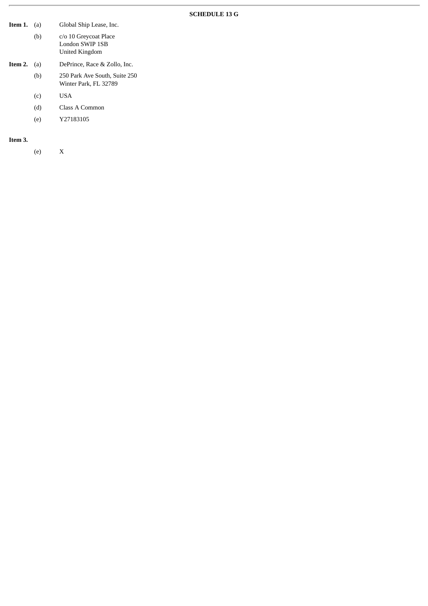## **SCHEDULE 13 G**

| Item 1. | (a) | Global Ship Lease, Inc.                                    |
|---------|-----|------------------------------------------------------------|
|         | (b) | c/o 10 Greycoat Place<br>London SWIP 1SB<br>United Kingdom |
| Item 2. | (a) | DePrince, Race & Zollo, Inc.                               |
|         | (b) | 250 Park Ave South, Suite 250<br>Winter Park, FL 32789     |
|         | (c) | <b>USA</b>                                                 |
|         | (d) | Class A Common                                             |
|         | (e) | Y27183105                                                  |

**Item 3.**

(e) X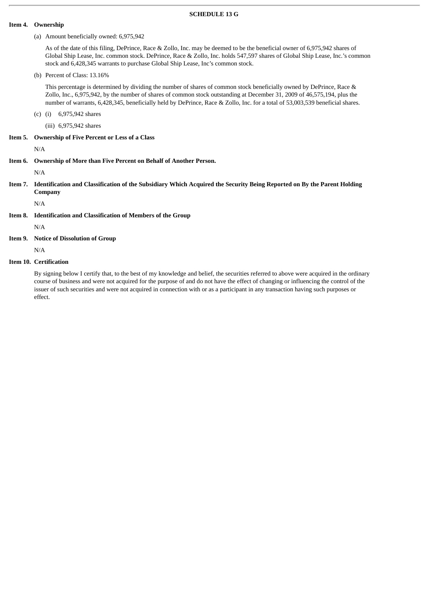#### **SCHEDULE 13 G**

#### **Item 4. Ownership**

#### (a) Amount beneficially owned: 6,975,942

As of the date of this filing, DePrince, Race & Zollo, Inc. may be deemed to be the beneficial owner of 6,975,942 shares of Global Ship Lease, Inc. common stock. DePrince, Race & Zollo, Inc. holds 547,597 shares of Global Ship Lease, Inc.'s common stock and 6,428,345 warrants to purchase Global Ship Lease, Inc's common stock.

(b) Percent of Class: 13.16%

This percentage is determined by dividing the number of shares of common stock beneficially owned by DePrince, Race & Zollo, Inc., 6,975,942, by the number of shares of common stock outstanding at December 31, 2009 of 46,575,194, plus the number of warrants, 6,428,345, beneficially held by DePrince, Race & Zollo, Inc. for a total of 53,003,539 beneficial shares.

(c) (i) 6,975,942 shares

(iii) 6,975,942 shares

#### **Item 5. Ownership of Five Percent or Less of a Class**

N/A

**Item 6. Ownership of More than Five Percent on Behalf of Another Person.**

N/A

**Item 7. Identification and Classification of the Subsidiary Which Acquired the Security Being Reported on By the Parent Holding Company**

N/A

**Item 8. Identification and Classification of Members of the Group**

N/A

**Item 9. Notice of Dissolution of Group**

N/A

**Item 10. Certification**

By signing below I certify that, to the best of my knowledge and belief, the securities referred to above were acquired in the ordinary course of business and were not acquired for the purpose of and do not have the effect of changing or influencing the control of the issuer of such securities and were not acquired in connection with or as a participant in any transaction having such purposes or effect.